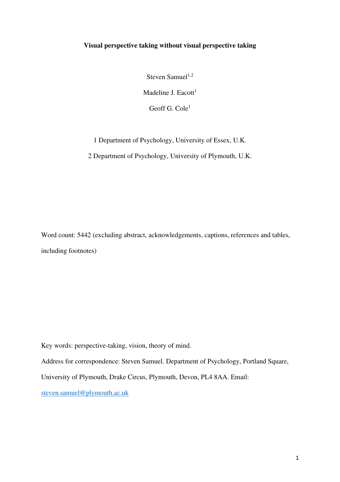# **Visual perspective taking without visual perspective taking**

Steven Samuel $1,2$ Madeline J. Eacott $<sup>1</sup>$ </sup>

Geoff G. Cole<sup>1</sup>

1 Department of Psychology, University of Essex, U.K.

2 Department of Psychology, University of Plymouth, U.K.

Word count: 5442 (excluding abstract, acknowledgements, captions, references and tables, including footnotes)

Key words: perspective-taking, vision, theory of mind.

Address for correspondence: Steven Samuel. Department of Psychology, Portland Square,

University of Plymouth, Drake Circus, Plymouth, Devon, PL4 8AA. Email:

steven.samuel@plymouth.ac.uk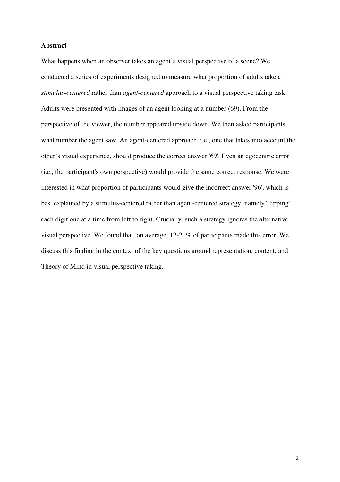### **Abstract**

What happens when an observer takes an agent's visual perspective of a scene? We conducted a series of experiments designed to measure what proportion of adults take a *stimulus-centered* rather than *agent-centered* approach to a visual perspective taking task. Adults were presented with images of an agent looking at a number (69). From the perspective of the viewer, the number appeared upside down. We then asked participants what number the agent saw. An agent-centered approach, i.e., one that takes into account the other's visual experience, should produce the correct answer '69'. Even an egocentric error (i.e., the participant's own perspective) would provide the same correct response. We were interested in what proportion of participants would give the incorrect answer '96', which is best explained by a stimulus-centered rather than agent-centered strategy, namely 'flipping' each digit one at a time from left to right. Crucially, such a strategy ignores the alternative visual perspective. We found that, on average, 12-21% of participants made this error. We discuss this finding in the context of the key questions around representation, content, and Theory of Mind in visual perspective taking.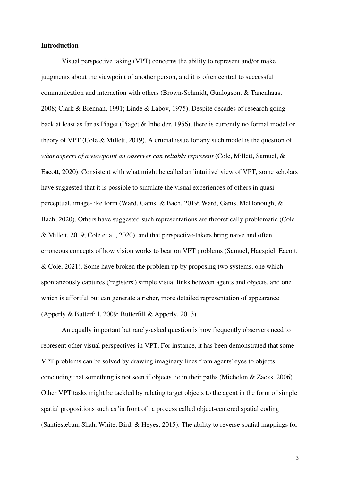### **Introduction**

Visual perspective taking (VPT) concerns the ability to represent and/or make judgments about the viewpoint of another person, and it is often central to successful communication and interaction with others (Brown-Schmidt, Gunlogson, & Tanenhaus, 2008; Clark & Brennan, 1991; Linde & Labov, 1975). Despite decades of research going back at least as far as Piaget (Piaget & Inhelder, 1956), there is currently no formal model or theory of VPT (Cole & Millett, 2019). A crucial issue for any such model is the question of *what aspects of a viewpoint an observer can reliably represent* (Cole, Millett, Samuel, & Eacott, 2020). Consistent with what might be called an 'intuitive' view of VPT, some scholars have suggested that it is possible to simulate the visual experiences of others in quasiperceptual, image-like form (Ward, Ganis, & Bach, 2019; Ward, Ganis, McDonough, & Bach, 2020). Others have suggested such representations are theoretically problematic (Cole & Millett, 2019; Cole et al., 2020), and that perspective-takers bring naive and often erroneous concepts of how vision works to bear on VPT problems (Samuel, Hagspiel, Eacott, & Cole, 2021). Some have broken the problem up by proposing two systems, one which spontaneously captures ('registers') simple visual links between agents and objects, and one which is effortful but can generate a richer, more detailed representation of appearance (Apperly & Butterfill, 2009; Butterfill & Apperly, 2013).

An equally important but rarely-asked question is how frequently observers need to represent other visual perspectives in VPT. For instance, it has been demonstrated that some VPT problems can be solved by drawing imaginary lines from agents' eyes to objects, concluding that something is not seen if objects lie in their paths (Michelon & Zacks, 2006). Other VPT tasks might be tackled by relating target objects to the agent in the form of simple spatial propositions such as 'in front of', a process called object-centered spatial coding (Santiesteban, Shah, White, Bird, & Heyes, 2015). The ability to reverse spatial mappings for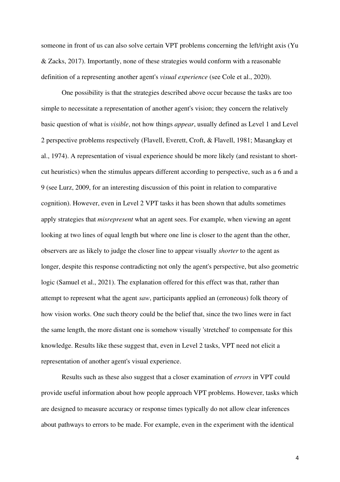someone in front of us can also solve certain VPT problems concerning the left/right axis (Yu & Zacks, 2017). Importantly, none of these strategies would conform with a reasonable definition of a representing another agent's *visual experience* (see Cole et al., 2020).

One possibility is that the strategies described above occur because the tasks are too simple to necessitate a representation of another agent's vision; they concern the relatively basic question of what is *visible*, not how things *appear*, usually defined as Level 1 and Level 2 perspective problems respectively (Flavell, Everett, Croft, & Flavell, 1981; Masangkay et al., 1974). A representation of visual experience should be more likely (and resistant to shortcut heuristics) when the stimulus appears different according to perspective, such as a 6 and a 9 (see Lurz, 2009, for an interesting discussion of this point in relation to comparative cognition). However, even in Level 2 VPT tasks it has been shown that adults sometimes apply strategies that *misrepresent* what an agent sees. For example, when viewing an agent looking at two lines of equal length but where one line is closer to the agent than the other, observers are as likely to judge the closer line to appear visually *shorter* to the agent as longer, despite this response contradicting not only the agent's perspective, but also geometric logic (Samuel et al., 2021). The explanation offered for this effect was that, rather than attempt to represent what the agent *saw*, participants applied an (erroneous) folk theory of how vision works. One such theory could be the belief that, since the two lines were in fact the same length, the more distant one is somehow visually 'stretched' to compensate for this knowledge. Results like these suggest that, even in Level 2 tasks, VPT need not elicit a representation of another agent's visual experience.

Results such as these also suggest that a closer examination of *errors* in VPT could provide useful information about how people approach VPT problems. However, tasks which are designed to measure accuracy or response times typically do not allow clear inferences about pathways to errors to be made. For example, even in the experiment with the identical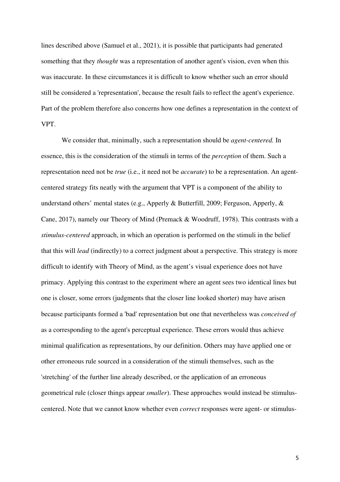lines described above (Samuel et al., 2021), it is possible that participants had generated something that they *thought* was a representation of another agent's vision, even when this was inaccurate. In these circumstances it is difficult to know whether such an error should still be considered a 'representation', because the result fails to reflect the agent's experience. Part of the problem therefore also concerns how one defines a representation in the context of VPT.

We consider that, minimally, such a representation should be *agent-centered.* In essence, this is the consideration of the stimuli in terms of the *perception* of them. Such a representation need not be *true* (i.e., it need not be *accurate*) to be a representation. An agentcentered strategy fits neatly with the argument that VPT is a component of the ability to understand others' mental states (e.g., Apperly & Butterfill, 2009; Ferguson, Apperly, & Cane, 2017), namely our Theory of Mind (Premack & Woodruff, 1978). This contrasts with a *stimulus-centered* approach, in which an operation is performed on the stimuli in the belief that this will *lead* (indirectly) to a correct judgment about a perspective. This strategy is more difficult to identify with Theory of Mind, as the agent's visual experience does not have primacy. Applying this contrast to the experiment where an agent sees two identical lines but one is closer, some errors (judgments that the closer line looked shorter) may have arisen because participants formed a 'bad' representation but one that nevertheless was *conceived of* as a corresponding to the agent's perceptual experience. These errors would thus achieve minimal qualification as representations, by our definition. Others may have applied one or other erroneous rule sourced in a consideration of the stimuli themselves, such as the 'stretching' of the further line already described, or the application of an erroneous geometrical rule (closer things appear *smaller*). These approaches would instead be stimuluscentered. Note that we cannot know whether even *correct* responses were agent- or stimulus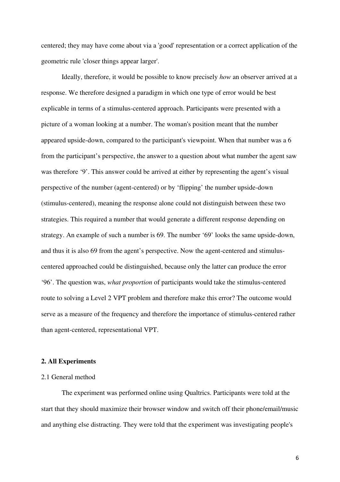centered; they may have come about via a 'good' representation or a correct application of the geometric rule 'closer things appear larger'.

Ideally, therefore, it would be possible to know precisely *how* an observer arrived at a response. We therefore designed a paradigm in which one type of error would be best explicable in terms of a stimulus-centered approach. Participants were presented with a picture of a woman looking at a number. The woman's position meant that the number appeared upside-down, compared to the participant's viewpoint. When that number was a 6 from the participant's perspective, the answer to a question about what number the agent saw was therefore '9'. This answer could be arrived at either by representing the agent's visual perspective of the number (agent-centered) or by 'flipping' the number upside-down (stimulus-centered), meaning the response alone could not distinguish between these two strategies. This required a number that would generate a different response depending on strategy. An example of such a number is 69. The number '69' looks the same upside-down, and thus it is also 69 from the agent's perspective. Now the agent-centered and stimuluscentered approached could be distinguished, because only the latter can produce the error '96'. The question was, *what proportion* of participants would take the stimulus-centered route to solving a Level 2 VPT problem and therefore make this error? The outcome would serve as a measure of the frequency and therefore the importance of stimulus-centered rather than agent-centered, representational VPT.

## **2. All Experiments**

# 2.1 General method

The experiment was performed online using Qualtrics. Participants were told at the start that they should maximize their browser window and switch off their phone/email/music and anything else distracting. They were told that the experiment was investigating people's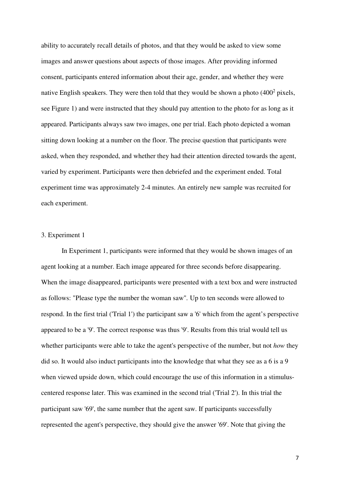ability to accurately recall details of photos, and that they would be asked to view some images and answer questions about aspects of those images. After providing informed consent, participants entered information about their age, gender, and whether they were native English speakers. They were then told that they would be shown a photo  $(400^2 \text{ pixels},$ see Figure 1) and were instructed that they should pay attention to the photo for as long as it appeared. Participants always saw two images, one per trial. Each photo depicted a woman sitting down looking at a number on the floor. The precise question that participants were asked, when they responded, and whether they had their attention directed towards the agent, varied by experiment. Participants were then debriefed and the experiment ended. Total experiment time was approximately 2-4 minutes. An entirely new sample was recruited for each experiment.

# 3. Experiment 1

In Experiment 1, participants were informed that they would be shown images of an agent looking at a number. Each image appeared for three seconds before disappearing. When the image disappeared, participants were presented with a text box and were instructed as follows: "Please type the number the woman saw"*.* Up to ten seconds were allowed to respond. In the first trial ('Trial 1') the participant saw a '6' which from the agent's perspective appeared to be a '9'. The correct response was thus '9'. Results from this trial would tell us whether participants were able to take the agent's perspective of the number, but not *how* they did so. It would also induct participants into the knowledge that what they see as a 6 is a 9 when viewed upside down, which could encourage the use of this information in a stimuluscentered response later. This was examined in the second trial ('Trial 2'). In this trial the participant saw '69', the same number that the agent saw. If participants successfully represented the agent's perspective, they should give the answer '69'. Note that giving the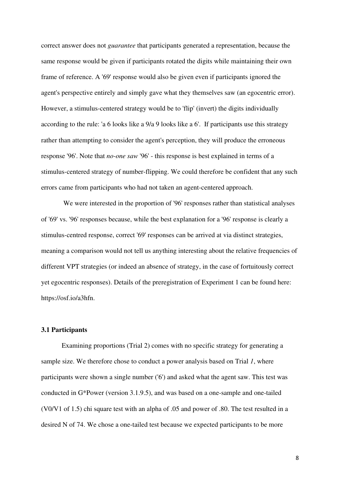correct answer does not *guarantee* that participants generated a representation, because the same response would be given if participants rotated the digits while maintaining their own frame of reference. A '69' response would also be given even if participants ignored the agent's perspective entirely and simply gave what they themselves saw (an egocentric error). However, a stimulus-centered strategy would be to 'flip' (invert) the digits individually according to the rule: 'a 6 looks like a 9/a 9 looks like a 6'. If participants use this strategy rather than attempting to consider the agent's perception, they will produce the erroneous response '96'. Note that *no-one saw* '96' - this response is best explained in terms of a stimulus-centered strategy of number-flipping. We could therefore be confident that any such errors came from participants who had not taken an agent-centered approach.

 We were interested in the proportion of '96' responses rather than statistical analyses of '69' vs. '96' responses because, while the best explanation for a '96' response is clearly a stimulus-centred response, correct '69' responses can be arrived at via distinct strategies, meaning a comparison would not tell us anything interesting about the relative frequencies of different VPT strategies (or indeed an absence of strategy, in the case of fortuitously correct yet egocentric responses). Details of the preregistration of Experiment 1 can be found here: https://osf.io/a3hfn.

#### **3.1 Participants**

 Examining proportions (Trial 2) comes with no specific strategy for generating a sample size. We therefore chose to conduct a power analysis based on Trial *1*, where participants were shown a single number ('6') and asked what the agent saw. This test was conducted in G\*Power (version 3.1.9.5), and was based on a one-sample and one-tailed (V0/V1 of 1.5) chi square test with an alpha of .05 and power of .80. The test resulted in a desired N of 74. We chose a one-tailed test because we expected participants to be more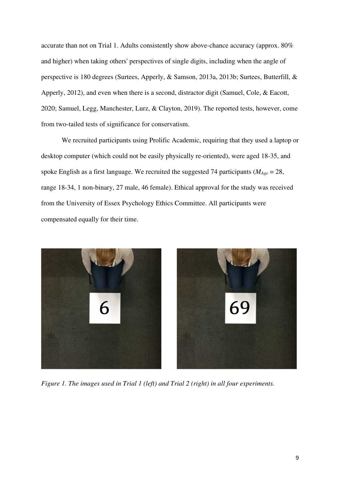accurate than not on Trial 1. Adults consistently show above-chance accuracy (approx. 80% and higher) when taking others' perspectives of single digits, including when the angle of perspective is 180 degrees (Surtees, Apperly, & Samson, 2013a, 2013b; Surtees, Butterfill, & Apperly, 2012), and even when there is a second, distractor digit (Samuel, Cole, & Eacott, 2020; Samuel, Legg, Manchester, Lurz, & Clayton, 2019). The reported tests, however, come from two-tailed tests of significance for conservatism.

We recruited participants using Prolific Academic, requiring that they used a laptop or desktop computer (which could not be easily physically re-oriented), were aged 18-35, and spoke English as a first language. We recruited the suggested 74 participants (*MAge* = 28, range 18-34, 1 non-binary, 27 male, 46 female). Ethical approval for the study was received from the University of Essex Psychology Ethics Committee. All participants were compensated equally for their time.



*Figure 1. The images used in Trial 1 (left) and Trial 2 (right) in all four experiments.*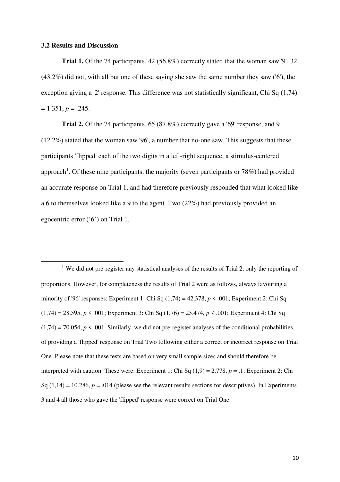#### **3.2 Results and Discussion**

**Trial 1.** Of the 74 participants, 42 (56.8%) correctly stated that the woman saw '9', 32 (43.2%) did not, with all but one of these saying she saw the same number they saw ('6'), the exception giving a '2' response. This difference was not statistically significant. Chi Sq (1.74)  $= 1.351, p = .245.$ 

**Trial 2.** Of the 74 participants, 65 (87.8%) correctly gave a '69' response, and 9 (12.2%) stated that the woman saw '96', a number that no-one saw. This suggests that these participants 'flipped' each of the two digits in a left-right sequence, a stimulus-centered approach<sup>1</sup>. Of these nine participants, the majority (seven participants or 78%) had provided an accurate response on Trial 1, and had therefore previously responded that what looked like a 6 to themselves looked like a 9 to the agent. Two (22%) had previously provided an egocentric error ('6') on Trial 1.

<sup>1</sup> We did not pre-register any statistical analyses of the results of Trial 2, only the reporting of proportions. However, for completeness the results of Trial 2 were as follows, always favouring a minority of '96' responses: Experiment 1: Chi Sq (1,74) = 42.378, *p* < .001; Experiment 2: Chi Sq (1,74) = 28.595, *p* < .001; Experiment 3: Chi Sq (1,76) = 25.474, *p* < .001; Experiment 4: Chi Sq  $(1,74) = 70.054$ ,  $p \le 0.001$ . Similarly, we did not pre-register analyses of the conditional probabilities of providing a 'flipped' response on Trial Two following either a correct or incorrect response on Trial One. Please note that these tests are based on very small sample sizes and should therefore be interpreted with caution. These were: Experiment 1: Chi Sq (1,9) = 2.778, *p* = .1; Experiment 2: Chi Sq  $(1,14) = 10.286$ ,  $p = .014$  (please see the relevant results sections for descriptives). In Experiments 3 and 4 all those who gave the 'flipped' response were correct on Trial One.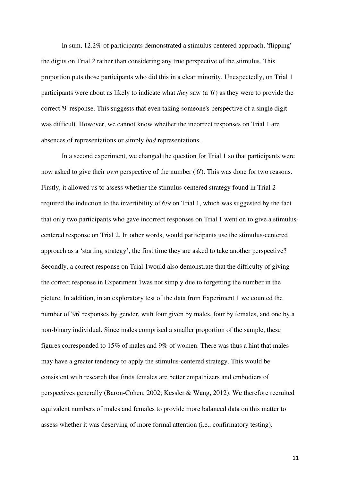In sum, 12.2% of participants demonstrated a stimulus-centered approach, 'flipping' the digits on Trial 2 rather than considering any true perspective of the stimulus. This proportion puts those participants who did this in a clear minority. Unexpectedly, on Trial 1 participants were about as likely to indicate what *they* saw (a '6') as they were to provide the correct '9' response. This suggests that even taking someone's perspective of a single digit was difficult. However, we cannot know whether the incorrect responses on Trial 1 are absences of representations or simply *bad* representations.

In a second experiment, we changed the question for Trial 1 so that participants were now asked to give their *own* perspective of the number ('6'). This was done for two reasons. Firstly, it allowed us to assess whether the stimulus-centered strategy found in Trial 2 required the induction to the invertibility of 6/9 on Trial 1, which was suggested by the fact that only two participants who gave incorrect responses on Trial 1 went on to give a stimuluscentered response on Trial 2. In other words, would participants use the stimulus-centered approach as a 'starting strategy', the first time they are asked to take another perspective? Secondly, a correct response on Trial 1would also demonstrate that the difficulty of giving the correct response in Experiment 1was not simply due to forgetting the number in the picture. In addition, in an exploratory test of the data from Experiment 1 we counted the number of '96' responses by gender, with four given by males, four by females, and one by a non-binary individual. Since males comprised a smaller proportion of the sample, these figures corresponded to 15% of males and 9% of women. There was thus a hint that males may have a greater tendency to apply the stimulus-centered strategy. This would be consistent with research that finds females are better empathizers and embodiers of perspectives generally (Baron-Cohen, 2002; Kessler & Wang, 2012). We therefore recruited equivalent numbers of males and females to provide more balanced data on this matter to assess whether it was deserving of more formal attention (i.e., confirmatory testing).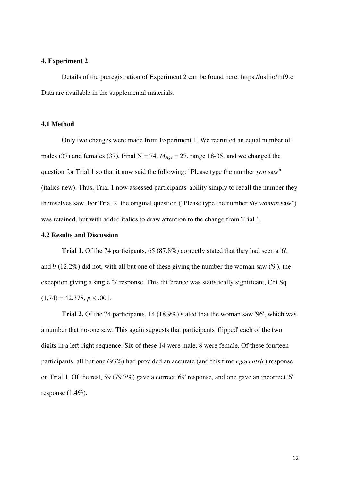#### **4. Experiment 2**

Details of the preregistration of Experiment 2 can be found here: https://osf.io/mf9tc. Data are available in the supplemental materials.

# **4.1 Method**

Only two changes were made from Experiment 1. We recruited an equal number of males (37) and females (37), Final  $N = 74$ ,  $M_{Age} = 27$ . range 18-35, and we changed the question for Trial 1 so that it now said the following: "Please type the number *you* saw" (italics new). Thus, Trial 1 now assessed participants' ability simply to recall the number they themselves saw. For Trial 2, the original question ("Please type the number *the woman* saw") was retained, but with added italics to draw attention to the change from Trial 1.

## **4.2 Results and Discussion**

**Trial 1.** Of the 74 participants, 65 (87.8%) correctly stated that they had seen a '6', and 9 (12.2%) did not, with all but one of these giving the number the woman saw ( $\theta$ ), the exception giving a single '3' response. This difference was statistically significant, Chi Sq  $(1,74) = 42.378, p \le .001.$ 

**Trial 2.** Of the 74 participants, 14 (18.9%) stated that the woman saw '96', which was a number that no-one saw. This again suggests that participants 'flipped' each of the two digits in a left-right sequence. Six of these 14 were male, 8 were female. Of these fourteen participants, all but one (93%) had provided an accurate (and this time *egocentric*) response on Trial 1. Of the rest, 59 (79.7%) gave a correct '69' response, and one gave an incorrect '6' response  $(1.4\%)$ .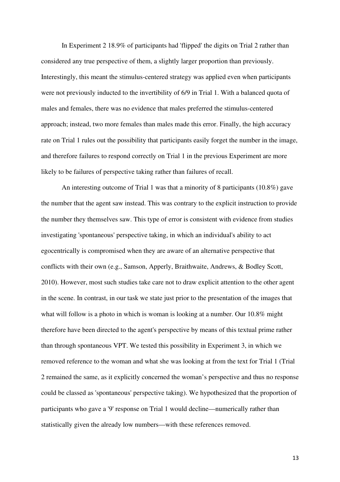In Experiment 2 18.9% of participants had 'flipped' the digits on Trial 2 rather than considered any true perspective of them, a slightly larger proportion than previously. Interestingly, this meant the stimulus-centered strategy was applied even when participants were not previously inducted to the invertibility of 6/9 in Trial 1. With a balanced quota of males and females, there was no evidence that males preferred the stimulus-centered approach; instead, two more females than males made this error. Finally, the high accuracy rate on Trial 1 rules out the possibility that participants easily forget the number in the image, and therefore failures to respond correctly on Trial 1 in the previous Experiment are more likely to be failures of perspective taking rather than failures of recall.

An interesting outcome of Trial 1 was that a minority of 8 participants (10.8%) gave the number that the agent saw instead. This was contrary to the explicit instruction to provide the number they themselves saw. This type of error is consistent with evidence from studies investigating 'spontaneous' perspective taking, in which an individual's ability to act egocentrically is compromised when they are aware of an alternative perspective that conflicts with their own (e.g., Samson, Apperly, Braithwaite, Andrews, & Bodley Scott, 2010). However, most such studies take care not to draw explicit attention to the other agent in the scene. In contrast, in our task we state just prior to the presentation of the images that what will follow is a photo in which is woman is looking at a number. Our 10.8% might therefore have been directed to the agent's perspective by means of this textual prime rather than through spontaneous VPT. We tested this possibility in Experiment 3, in which we removed reference to the woman and what she was looking at from the text for Trial 1 (Trial 2 remained the same, as it explicitly concerned the woman's perspective and thus no response could be classed as 'spontaneous' perspective taking). We hypothesized that the proportion of participants who gave a '9' response on Trial 1 would decline—numerically rather than statistically given the already low numbers—with these references removed.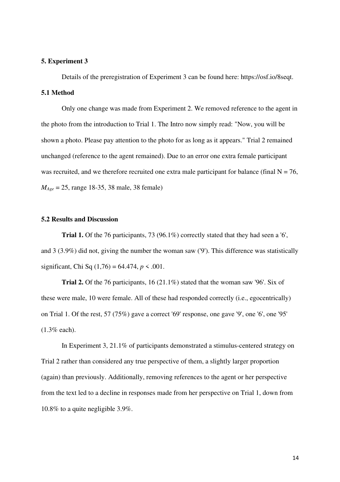#### **5. Experiment 3**

Details of the preregistration of Experiment 3 can be found here: https://osf.io/8seqt. **5.1 Method** 

Only one change was made from Experiment 2. We removed reference to the agent in the photo from the introduction to Trial 1. The Intro now simply read: "Now, you will be shown a photo. Please pay attention to the photo for as long as it appears." Trial 2 remained unchanged (reference to the agent remained). Due to an error one extra female participant was recruited, and we therefore recruited one extra male participant for balance (final  $N = 76$ , *MAge* = 25, range 18-35, 38 male, 38 female)

# **5.2 Results and Discussion**

**Trial 1.** Of the 76 participants, 73 (96.1%) correctly stated that they had seen a '6', and 3 (3.9%) did not, giving the number the woman saw ('9'). This difference was statistically significant, Chi Sq (1,76) = 64.474, *p* < .001.

**Trial 2.** Of the 76 participants, 16 (21.1%) stated that the woman saw '96'. Six of these were male, 10 were female. All of these had responded correctly (i.e., egocentrically) on Trial 1. Of the rest, 57 (75%) gave a correct '69' response, one gave '9', one '6', one '95' (1.3% each).

In Experiment 3, 21.1% of participants demonstrated a stimulus-centered strategy on Trial 2 rather than considered any true perspective of them, a slightly larger proportion (again) than previously. Additionally, removing references to the agent or her perspective from the text led to a decline in responses made from her perspective on Trial 1, down from 10.8% to a quite negligible 3.9%.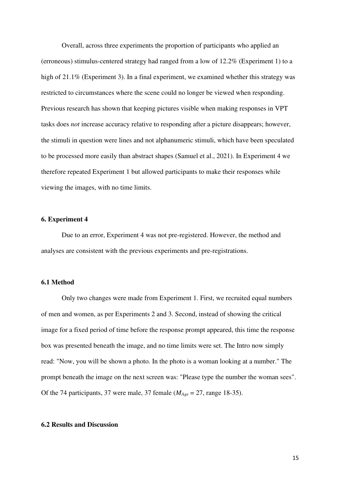Overall, across three experiments the proportion of participants who applied an (erroneous) stimulus-centered strategy had ranged from a low of 12.2% (Experiment 1) to a high of 21.1% (Experiment 3). In a final experiment, we examined whether this strategy was restricted to circumstances where the scene could no longer be viewed when responding. Previous research has shown that keeping pictures visible when making responses in VPT tasks does *not* increase accuracy relative to responding after a picture disappears; however, the stimuli in question were lines and not alphanumeric stimuli, which have been speculated to be processed more easily than abstract shapes (Samuel et al., 2021). In Experiment 4 we therefore repeated Experiment 1 but allowed participants to make their responses while viewing the images, with no time limits.

## **6. Experiment 4**

Due to an error, Experiment 4 was not pre-registered. However, the method and analyses are consistent with the previous experiments and pre-registrations.

### **6.1 Method**

Only two changes were made from Experiment 1. First, we recruited equal numbers of men and women, as per Experiments 2 and 3. Second, instead of showing the critical image for a fixed period of time before the response prompt appeared, this time the response box was presented beneath the image, and no time limits were set. The Intro now simply read: "Now, you will be shown a photo. In the photo is a woman looking at a number." The prompt beneath the image on the next screen was: "Please type the number the woman sees". Of the 74 participants, 37 were male, 37 female (*MAge* = 27, range 18-35).

## **6.2 Results and Discussion**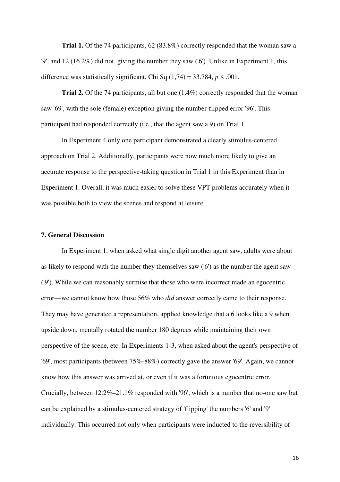**Trial 1.** Of the 74 participants, 62 (83.8%) correctly responded that the woman saw a '9', and 12 (16.2%) did not, giving the number they saw ('6'). Unlike in Experiment 1, this difference was statistically significant, Chi Sq  $(1,74) = 33.784$ ,  $p \le 0.001$ .

**Trial 2.** Of the 74 participants, all but one (1.4%) correctly responded that the woman saw '69', with the sole (female) exception giving the number-flipped error '96'. This participant had responded correctly (i.e., that the agent saw a 9) on Trial 1.

In Experiment 4 only one participant demonstrated a clearly stimulus-centered approach on Trial 2. Additionally, participants were now much more likely to give an accurate response to the perspective-taking question in Trial 1 in this Experiment than in Experiment 1. Overall, it was much easier to solve these VPT problems accurately when it was possible both to view the scenes and respond at leisure.

## **7. General Discussion**

In Experiment 1, when asked what single digit another agent saw, adults were about as likely to respond with the number they themselves saw ('6') as the number the agent saw ('9'). While we can reasonably surmise that those who were incorrect made an egocentric error—we cannot know how those 56% who *did* answer correctly came to their response. They may have generated a representation, applied knowledge that a 6 looks like a 9 when upside down, mentally rotated the number 180 degrees while maintaining their own perspective of the scene, etc. In Experiments 1-3, when asked about the agent's perspective of '69', most participants (between 75%-88%) correctly gave the answer '69'. Again, we cannot know how this answer was arrived at, or even if it was a fortuitous egocentric error. Crucially, between 12.2%–21.1% responded with '96', which is a number that no-one saw but can be explained by a stimulus-centered strategy of 'flipping' the numbers '6' and '9' individually. This occurred not only when participants were inducted to the reversibility of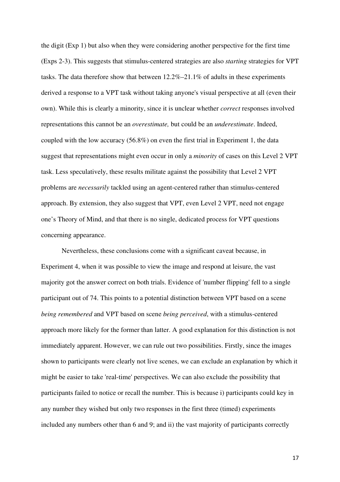the digit (Exp 1) but also when they were considering another perspective for the first time (Exps 2-3). This suggests that stimulus-centered strategies are also *starting* strategies for VPT tasks. The data therefore show that between 12.2%–21.1% of adults in these experiments derived a response to a VPT task without taking anyone's visual perspective at all (even their own). While this is clearly a minority, since it is unclear whether *correct* responses involved representations this cannot be an *overestimate,* but could be an *underestimate*. Indeed, coupled with the low accuracy (56.8%) on even the first trial in Experiment 1, the data suggest that representations might even occur in only a *minority* of cases on this Level 2 VPT task. Less speculatively, these results militate against the possibility that Level 2 VPT problems are *necessarily* tackled using an agent-centered rather than stimulus-centered approach. By extension, they also suggest that VPT, even Level 2 VPT, need not engage one's Theory of Mind, and that there is no single, dedicated process for VPT questions concerning appearance.

Nevertheless, these conclusions come with a significant caveat because, in Experiment 4, when it was possible to view the image and respond at leisure, the vast majority got the answer correct on both trials. Evidence of 'number flipping' fell to a single participant out of 74. This points to a potential distinction between VPT based on a scene *being remembered* and VPT based on scene *being perceived*, with a stimulus-centered approach more likely for the former than latter. A good explanation for this distinction is not immediately apparent. However, we can rule out two possibilities. Firstly, since the images shown to participants were clearly not live scenes, we can exclude an explanation by which it might be easier to take 'real-time' perspectives. We can also exclude the possibility that participants failed to notice or recall the number. This is because i) participants could key in any number they wished but only two responses in the first three (timed) experiments included any numbers other than 6 and 9; and ii) the vast majority of participants correctly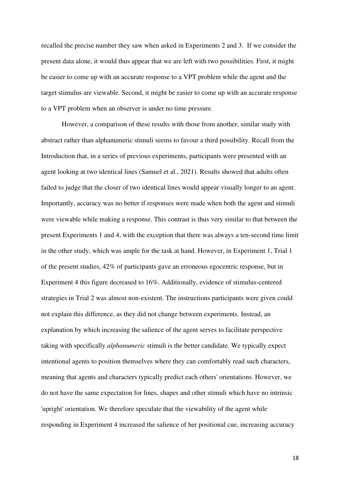recalled the precise number they saw when asked in Experiments 2 and 3. If we consider the present data alone, it would thus appear that we are left with two possibilities. First, it might be easier to come up with an accurate response to a VPT problem while the agent and the target stimulus are viewable. Second, it might be easier to come up with an accurate response to a VPT problem when an observer is under no time pressure.

However, a comparison of these results with those from another, similar study with abstract rather than alphanumeric stimuli seems to favour a third possibility. Recall from the Introduction that, in a series of previous experiments, participants were presented with an agent looking at two identical lines (Samuel et al., 2021). Results showed that adults often failed to judge that the closer of two identical lines would appear visually longer to an agent. Importantly, accuracy was no better if responses were made when both the agent and stimuli were viewable while making a response. This contrast is thus very similar to that between the present Experiments 1 and 4, with the exception that there was always a ten-second time limit in the other study, which was ample for the task at hand. However, in Experiment 1, Trial 1 of the present studies, 42% of participants gave an erroneous egocentric response, but in Experiment 4 this figure decreased to 16%. Additionally, evidence of stimulus-centered strategies in Trial 2 was almost non-existent. The instructions participants were given could not explain this difference, as they did not change between experiments. Instead, an explanation by which increasing the salience of the agent serves to facilitate perspective taking with specifically *alphanumeric* stimuli is the better candidate. We typically expect intentional agents to position themselves where they can comfortably read such characters, meaning that agents and characters typically predict each others' orientations. However, we do not have the same expectation for lines, shapes and other stimuli which have no intrinsic 'upright' orientation. We therefore speculate that the viewability of the agent while responding in Experiment 4 increased the salience of her positional cue, increasing accuracy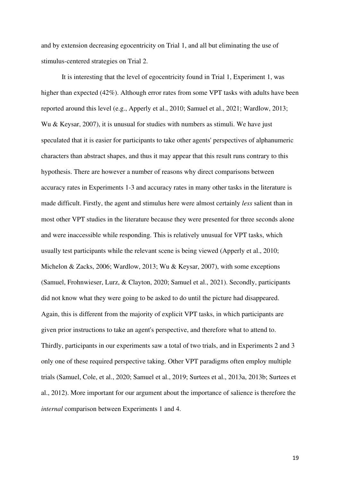and by extension decreasing egocentricity on Trial 1, and all but eliminating the use of stimulus-centered strategies on Trial 2.

It is interesting that the level of egocentricity found in Trial 1, Experiment 1, was higher than expected (42%). Although error rates from some VPT tasks with adults have been reported around this level (e.g., Apperly et al., 2010; Samuel et al., 2021; Wardlow, 2013; Wu & Keysar, 2007), it is unusual for studies with numbers as stimuli. We have just speculated that it is easier for participants to take other agents' perspectives of alphanumeric characters than abstract shapes, and thus it may appear that this result runs contrary to this hypothesis. There are however a number of reasons why direct comparisons between accuracy rates in Experiments 1-3 and accuracy rates in many other tasks in the literature is made difficult. Firstly, the agent and stimulus here were almost certainly *less* salient than in most other VPT studies in the literature because they were presented for three seconds alone and were inaccessible while responding. This is relatively unusual for VPT tasks, which usually test participants while the relevant scene is being viewed (Apperly et al., 2010; Michelon & Zacks, 2006; Wardlow, 2013; Wu & Keysar, 2007), with some exceptions (Samuel, Frohnwieser, Lurz, & Clayton, 2020; Samuel et al., 2021). Secondly, participants did not know what they were going to be asked to do until the picture had disappeared. Again, this is different from the majority of explicit VPT tasks, in which participants are given prior instructions to take an agent's perspective, and therefore what to attend to. Thirdly, participants in our experiments saw a total of two trials, and in Experiments 2 and 3 only one of these required perspective taking. Other VPT paradigms often employ multiple trials (Samuel, Cole, et al., 2020; Samuel et al., 2019; Surtees et al., 2013a, 2013b; Surtees et al., 2012). More important for our argument about the importance of salience is therefore the *internal* comparison between Experiments 1 and 4.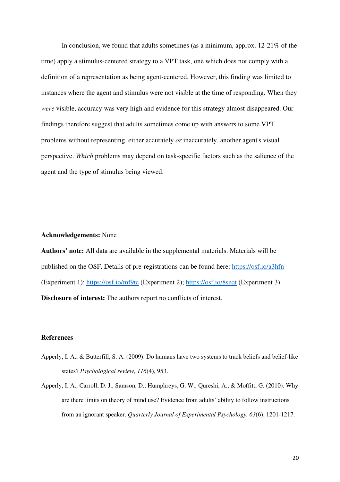In conclusion, we found that adults sometimes (as a minimum, approx. 12-21% of the time) apply a stimulus-centered strategy to a VPT task, one which does not comply with a definition of a representation as being agent-centered. However, this finding was limited to instances where the agent and stimulus were not visible at the time of responding. When they *were* visible, accuracy was very high and evidence for this strategy almost disappeared. Our findings therefore suggest that adults sometimes come up with answers to some VPT problems without representing, either accurately *or* inaccurately, another agent's visual perspective. *Which* problems may depend on task-specific factors such as the salience of the agent and the type of stimulus being viewed.

## **Acknowledgements:** None

**Authors' note:** All data are available in the supplemental materials. Materials will be published on the OSF. Details of pre-registrations can be found here: https://osf.io/a3hfn (Experiment 1); https://osf.io/mf9tc (Experiment 2); https://osf.io/8seqt (Experiment 3). **Disclosure of interest:** The authors report no conflicts of interest.

### **References**

- Apperly, I. A., & Butterfill, S. A. (2009). Do humans have two systems to track beliefs and belief-like states? *Psychological review, 116*(4), 953.
- Apperly, I. A., Carroll, D. J., Samson, D., Humphreys, G. W., Qureshi, A., & Moffitt, G. (2010). Why are there limits on theory of mind use? Evidence from adults' ability to follow instructions from an ignorant speaker. *Quarterly Journal of Experimental Psychology, 63*(6), 1201-1217.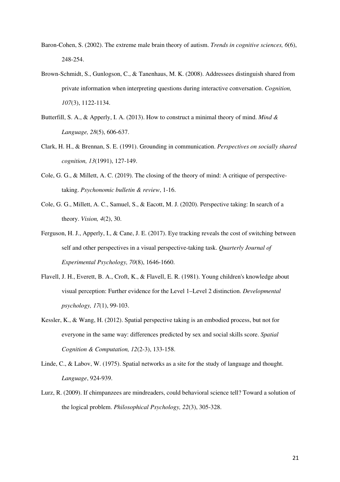- Baron-Cohen, S. (2002). The extreme male brain theory of autism. *Trends in cognitive sciences, 6*(6), 248-254.
- Brown-Schmidt, S., Gunlogson, C., & Tanenhaus, M. K. (2008). Addressees distinguish shared from private information when interpreting questions during interactive conversation. *Cognition, 107*(3), 1122-1134.
- Butterfill, S. A., & Apperly, I. A. (2013). How to construct a minimal theory of mind. *Mind & Language, 28*(5), 606-637.
- Clark, H. H., & Brennan, S. E. (1991). Grounding in communication. *Perspectives on socially shared cognition, 13*(1991), 127-149.
- Cole, G. G., & Millett, A. C. (2019). The closing of the theory of mind: A critique of perspectivetaking. *Psychonomic bulletin & review*, 1-16.
- Cole, G. G., Millett, A. C., Samuel, S., & Eacott, M. J. (2020). Perspective taking: In search of a theory. *Vision, 4*(2), 30.
- Ferguson, H. J., Apperly, I., & Cane, J. E. (2017). Eye tracking reveals the cost of switching between self and other perspectives in a visual perspective-taking task. *Quarterly Journal of Experimental Psychology, 70*(8), 1646-1660.
- Flavell, J. H., Everett, B. A., Croft, K., & Flavell, E. R. (1981). Young children's knowledge about visual perception: Further evidence for the Level 1–Level 2 distinction. *Developmental psychology, 17*(1), 99-103.
- Kessler, K., & Wang, H. (2012). Spatial perspective taking is an embodied process, but not for everyone in the same way: differences predicted by sex and social skills score. *Spatial Cognition & Computation, 12*(2-3), 133-158.
- Linde, C., & Labov, W. (1975). Spatial networks as a site for the study of language and thought. *Language*, 924-939.
- Lurz, R. (2009). If chimpanzees are mindreaders, could behavioral science tell? Toward a solution of the logical problem. *Philosophical Psychology, 22*(3), 305-328.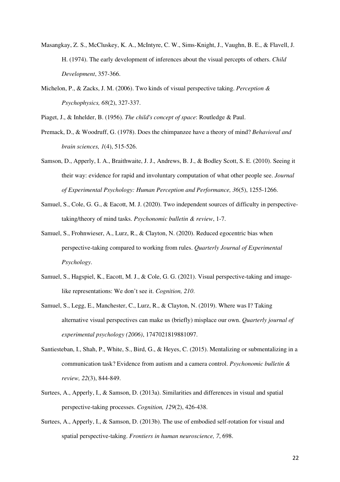- Masangkay, Z. S., McCluskey, K. A., McIntyre, C. W., Sims-Knight, J., Vaughn, B. E., & Flavell, J. H. (1974). The early development of inferences about the visual percepts of others. *Child Development*, 357-366.
- Michelon, P., & Zacks, J. M. (2006). Two kinds of visual perspective taking. *Perception & Psychophysics, 68*(2), 327-337.

Piaget, J., & Inhelder, B. (1956). *The child's concept of space*: Routledge & Paul.

- Premack, D., & Woodruff, G. (1978). Does the chimpanzee have a theory of mind? *Behavioral and brain sciences, 1*(4), 515-526.
- Samson, D., Apperly, I. A., Braithwaite, J. J., Andrews, B. J., & Bodley Scott, S. E. (2010). Seeing it their way: evidence for rapid and involuntary computation of what other people see. *Journal of Experimental Psychology: Human Perception and Performance, 36*(5), 1255-1266.
- Samuel, S., Cole, G. G., & Eacott, M. J. (2020). Two independent sources of difficulty in perspectivetaking/theory of mind tasks. *Psychonomic bulletin & review*, 1-7.
- Samuel, S., Frohnwieser, A., Lurz, R., & Clayton, N. (2020). Reduced egocentric bias when perspective-taking compared to working from rules. *Quarterly Journal of Experimental Psychology*.
- Samuel, S., Hagspiel, K., Eacott, M. J., & Cole, G. G. (2021). Visual perspective-taking and imagelike representations: We don't see it. *Cognition, 210*.
- Samuel, S., Legg, E., Manchester, C., Lurz, R., & Clayton, N. (2019). Where was I? Taking alternative visual perspectives can make us (briefly) misplace our own. *Quarterly journal of experimental psychology (2006)*, 1747021819881097.
- Santiesteban, I., Shah, P., White, S., Bird, G., & Heyes, C. (2015). Mentalizing or submentalizing in a communication task? Evidence from autism and a camera control. *Psychonomic bulletin & review, 22*(3), 844-849.
- Surtees, A., Apperly, I., & Samson, D. (2013a). Similarities and differences in visual and spatial perspective-taking processes. *Cognition, 129*(2), 426-438.
- Surtees, A., Apperly, I., & Samson, D. (2013b). The use of embodied self-rotation for visual and spatial perspective-taking. *Frontiers in human neuroscience, 7*, 698.